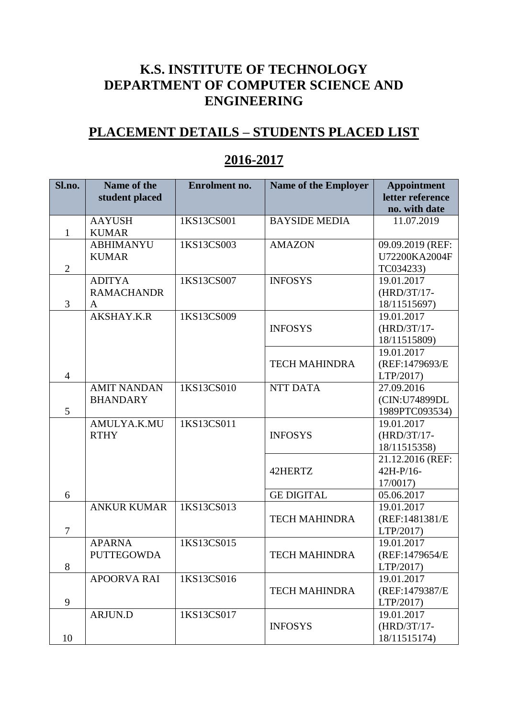## **K.S. INSTITUTE OF TECHNOLOGY DEPARTMENT OF COMPUTER SCIENCE AND ENGINEERING**

## **PLACEMENT DETAILS – STUDENTS PLACED LIST**

| Sl.no.         | Name of the        | Enrolment no. | Name of the Employer | <b>Appointment</b>         |
|----------------|--------------------|---------------|----------------------|----------------------------|
|                | student placed     |               |                      | letter reference           |
|                |                    |               |                      | no. with date              |
|                | <b>AAYUSH</b>      | 1KS13CS001    | <b>BAYSIDE MEDIA</b> | 11.07.2019                 |
| $\mathbf{1}$   | <b>KUMAR</b>       |               |                      |                            |
|                | <b>ABHIMANYU</b>   | 1KS13CS003    | <b>AMAZON</b>        | 09.09.2019 (REF:           |
|                | <b>KUMAR</b>       |               |                      | U72200KA2004F              |
| $\overline{2}$ |                    |               |                      | TC034233)                  |
|                | <b>ADITYA</b>      | 1KS13CS007    | <b>INFOSYS</b>       | 19.01.2017                 |
|                | <b>RAMACHANDR</b>  |               |                      | (HRD/3T/17-                |
| 3              | A                  |               |                      | 18/11515697)               |
|                | AKSHAY.K.R         | 1KS13CS009    |                      | 19.01.2017                 |
|                |                    |               | <b>INFOSYS</b>       | $(HRD/3T/17-$              |
|                |                    |               |                      | 18/11515809)               |
|                |                    |               |                      | 19.01.2017                 |
|                |                    |               | <b>TECH MAHINDRA</b> | (REF:1479693/E             |
| $\overline{4}$ |                    |               |                      | LTP/2017)                  |
|                | <b>AMIT NANDAN</b> | 1KS13CS010    | NTT DATA             | 27.09.2016                 |
|                | <b>BHANDARY</b>    |               |                      | (CIN:U74899DL              |
| 5              |                    |               |                      | 1989PTC093534)             |
|                | AMULYA.K.MU        | 1KS13CS011    |                      | 19.01.2017                 |
|                | <b>RTHY</b>        |               | <b>INFOSYS</b>       | $(HRD/3T/17-$              |
|                |                    |               |                      | 18/11515358)               |
|                |                    |               |                      | 21.12.2016 (REF:           |
|                |                    |               | 42HERTZ              | 42H-P/16-                  |
|                |                    |               |                      | 17/0017)                   |
| 6              |                    |               | <b>GE DIGITAL</b>    | 05.06.2017                 |
|                | <b>ANKUR KUMAR</b> | 1KS13CS013    |                      | 19.01.2017                 |
| $\tau$         |                    |               | <b>TECH MAHINDRA</b> | (REF:1481381/E             |
|                | <b>APARNA</b>      |               |                      | LTP/2017)                  |
|                |                    | 1KS13CS015    |                      | 19.01.2017                 |
| 8              | <b>PUTTEGOWDA</b>  |               | <b>TECH MAHINDRA</b> | (REF:1479654/E<br>LTP/2017 |
|                | <b>APOORVA RAI</b> | 1KS13CS016    |                      | 19.01.2017                 |
|                |                    |               | <b>TECH MAHINDRA</b> | (REF:1479387/E             |
| 9              |                    |               |                      | LTP/2017)                  |
|                | ARJUN.D            | 1KS13CS017    |                      | 19.01.2017                 |
|                |                    |               | <b>INFOSYS</b>       | (HRD/3T/17-                |
| 10             |                    |               |                      | 18/11515174)               |

## **2016-2017**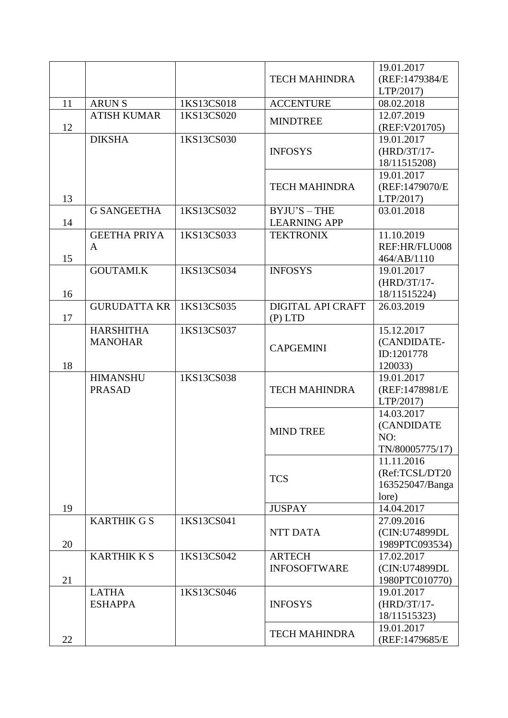|    |                     |            |                      | 19.01.2017      |
|----|---------------------|------------|----------------------|-----------------|
|    |                     |            | <b>TECH MAHINDRA</b> | (REF:1479384/E) |
|    |                     |            |                      | LTP/2017)       |
| 11 | <b>ARUNS</b>        | 1KS13CS018 | <b>ACCENTURE</b>     | 08.02.2018      |
|    | <b>ATISH KUMAR</b>  | 1KS13CS020 |                      | 12.07.2019      |
| 12 |                     |            | <b>MINDTREE</b>      | (REF: V201705)  |
|    | <b>DIKSHA</b>       | 1KS13CS030 |                      | 19.01.2017      |
|    |                     |            | <b>INFOSYS</b>       | (HRD/3T/17-     |
|    |                     |            |                      | 18/11515208)    |
|    |                     |            |                      | 19.01.2017      |
|    |                     |            | <b>TECH MAHINDRA</b> | (REF:1479070/E  |
| 13 |                     |            |                      | LTP/2017)       |
|    | <b>G SANGEETHA</b>  | 1KS13CS032 | $BYJU'S - THE$       | 03.01.2018      |
| 14 |                     |            | <b>LEARNING APP</b>  |                 |
|    | <b>GEETHA PRIYA</b> | 1KS13CS033 | <b>TEKTRONIX</b>     | 11.10.2019      |
|    | A                   |            |                      | REF:HR/FLU008   |
| 15 |                     |            |                      | 464/AB/1110     |
|    | <b>GOUTAMI.K</b>    | 1KS13CS034 | <b>INFOSYS</b>       | 19.01.2017      |
|    |                     |            |                      | (HRD/3T/17-     |
| 16 |                     |            |                      | 18/11515224)    |
|    | <b>GURUDATTA KR</b> | 1KS13CS035 | DIGITAL API CRAFT    | 26.03.2019      |
| 17 |                     |            | $(P)$ LTD            |                 |
|    | <b>HARSHITHA</b>    | 1KS13CS037 |                      | 15.12.2017      |
|    | <b>MANOHAR</b>      |            | <b>CAPGEMINI</b>     | (CANDIDATE-     |
|    |                     |            |                      | ID:1201778      |
| 18 |                     |            |                      | 120033)         |
|    | <b>HIMANSHU</b>     | 1KS13CS038 |                      | 19.01.2017      |
|    | <b>PRASAD</b>       |            | <b>TECH MAHINDRA</b> | (REF:1478981/E  |
|    |                     |            |                      | LTP/2017)       |
|    |                     |            |                      | 14.03.2017      |
|    |                     |            | <b>MIND TREE</b>     | (CANDIDATE      |
|    |                     |            |                      | NO:             |
|    |                     |            |                      | TN/80005775/17) |
|    |                     |            |                      | 11.11.2016      |
|    |                     |            | <b>TCS</b>           | (Ref:TCSL/DT20  |
|    |                     |            |                      | 163525047/Banga |
|    |                     |            |                      | lore)           |
| 19 |                     |            | <b>JUSPAY</b>        | 14.04.2017      |
|    | <b>KARTHIK G S</b>  | 1KS13CS041 |                      | 27.09.2016      |
|    |                     |            | <b>NTT DATA</b>      | (CIN:U74899DL   |
| 20 |                     |            |                      | 1989PTC093534)  |
|    | <b>KARTHIK K S</b>  | 1KS13CS042 | <b>ARTECH</b>        | 17.02.2017      |
|    |                     |            | <b>INFOSOFTWARE</b>  | (CIN:U74899DL   |
| 21 |                     |            |                      | 1980PTC010770)  |
|    | <b>LATHA</b>        | 1KS13CS046 |                      | 19.01.2017      |
|    | <b>ESHAPPA</b>      |            | <b>INFOSYS</b>       | (HRD/3T/17-     |
|    |                     |            |                      | 18/11515323)    |
|    |                     |            | <b>TECH MAHINDRA</b> | 19.01.2017      |
| 22 |                     |            |                      | (REF:1479685/E  |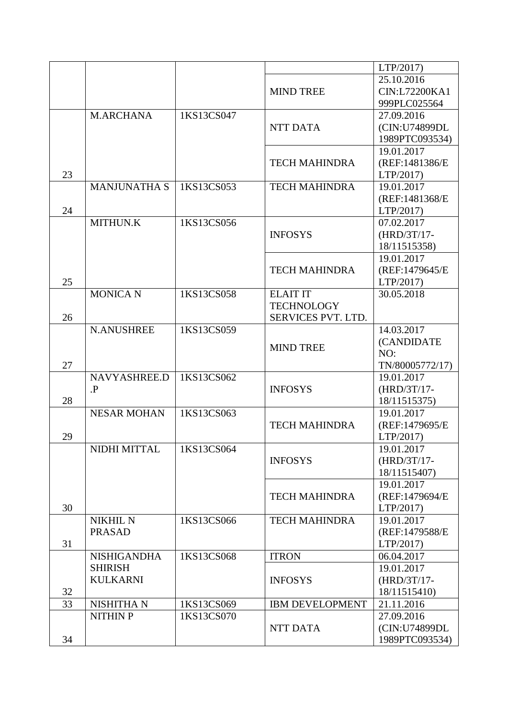|    |                     |            |                        | LTP/2017)       |
|----|---------------------|------------|------------------------|-----------------|
|    |                     |            |                        | 25.10.2016      |
|    |                     |            | <b>MIND TREE</b>       | CIN:L72200KA1   |
|    |                     |            |                        | 999PLC025564    |
|    | <b>M.ARCHANA</b>    | 1KS13CS047 |                        | 27.09.2016      |
|    |                     |            | <b>NTT DATA</b>        | (CIN:U74899DL   |
|    |                     |            |                        | 1989PTC093534)  |
|    |                     |            |                        | 19.01.2017      |
|    |                     |            | <b>TECH MAHINDRA</b>   | (REF:1481386/E) |
| 23 |                     |            |                        | LTP/2017)       |
|    | <b>MANJUNATHA S</b> | 1KS13CS053 | <b>TECH MAHINDRA</b>   | 19.01.2017      |
|    |                     |            |                        | (REF:1481368/E) |
| 24 |                     |            |                        | LTP/2017)       |
|    | MITHUN.K            | 1KS13CS056 |                        | 07.02.2017      |
|    |                     |            | <b>INFOSYS</b>         | (HRD/3T/17-     |
|    |                     |            |                        | 18/11515358)    |
|    |                     |            |                        | 19.01.2017      |
|    |                     |            | <b>TECH MAHINDRA</b>   | (REF:1479645/E  |
| 25 |                     |            |                        | LTP/2017)       |
|    | <b>MONICA N</b>     | 1KS13CS058 | <b>ELAIT IT</b>        | 30.05.2018      |
|    |                     |            | <b>TECHNOLOGY</b>      |                 |
| 26 |                     |            | SERVICES PVT. LTD.     |                 |
|    | <b>N.ANUSHREE</b>   | 1KS13CS059 |                        | 14.03.2017      |
|    |                     |            | <b>MIND TREE</b>       | (CANDIDATE      |
|    |                     |            |                        | NO:             |
| 27 |                     |            |                        | TN/80005772/17) |
|    | NAVYASHREE.D        | 1KS13CS062 |                        | 19.01.2017      |
|    | $\mathbf{P}$        |            | <b>INFOSYS</b>         | (HRD/3T/17-     |
| 28 |                     |            |                        | 18/11515375)    |
|    | <b>NESAR MOHAN</b>  | 1KS13CS063 |                        | 19.01.2017      |
|    |                     |            | <b>TECH MAHINDRA</b>   | (REF:1479695/E  |
| 29 |                     |            |                        | LTP/2017)       |
|    | NIDHI MITTAL        | 1KS13CS064 |                        | 19.01.2017      |
|    |                     |            | <b>INFOSYS</b>         | (HRD/3T/17-     |
|    |                     |            |                        | 18/11515407)    |
|    |                     |            |                        | 19.01.2017      |
|    |                     |            | <b>TECH MAHINDRA</b>   | (REF:1479694/E  |
| 30 |                     |            |                        | LTP/2017)       |
|    | <b>NIKHIL N</b>     | 1KS13CS066 | <b>TECH MAHINDRA</b>   | 19.01.2017      |
|    | <b>PRASAD</b>       |            |                        | (REF:1479588/E  |
| 31 |                     |            |                        | LTP/2017)       |
|    | <b>NISHIGANDHA</b>  | 1KS13CS068 | <b>ITRON</b>           | 06.04.2017      |
|    | <b>SHIRISH</b>      |            |                        | 19.01.2017      |
|    | <b>KULKARNI</b>     |            | <b>INFOSYS</b>         | $(HRD/3T/17-$   |
| 32 |                     |            |                        | 18/11515410)    |
| 33 | <b>NISHITHA N</b>   | 1KS13CS069 | <b>IBM DEVELOPMENT</b> | 21.11.2016      |
|    | <b>NITHIN P</b>     | 1KS13CS070 |                        | 27.09.2016      |
|    |                     |            | <b>NTT DATA</b>        | (CIN:U74899DL   |
| 34 |                     |            |                        | 1989PTC093534)  |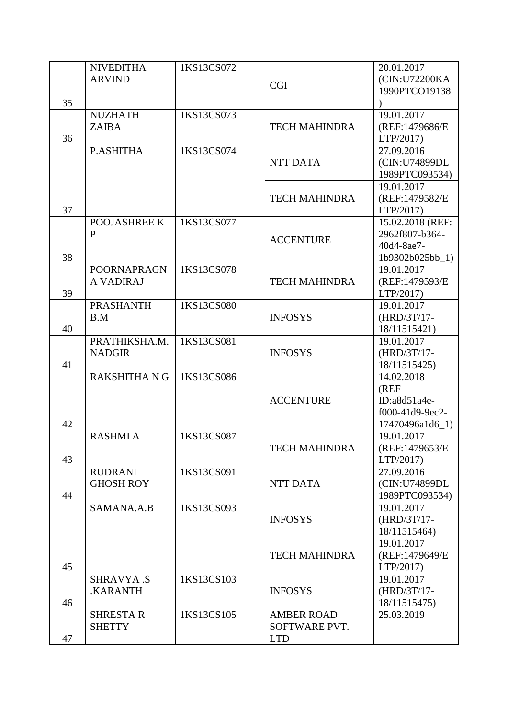|    | <b>NIVEDITHA</b>     | 1KS13CS072 |                      | 20.01.2017       |
|----|----------------------|------------|----------------------|------------------|
|    | <b>ARVIND</b>        |            |                      | (CIN:U72200KA    |
|    |                      |            | <b>CGI</b>           | 1990PTCO19138    |
| 35 |                      |            |                      |                  |
|    | <b>NUZHATH</b>       | 1KS13CS073 |                      | 19.01.2017       |
|    | <b>ZAIBA</b>         |            | <b>TECH MAHINDRA</b> | (REF:1479686/E)  |
| 36 |                      |            |                      | LTP/2017)        |
|    | P.ASHITHA            | 1KS13CS074 |                      | 27.09.2016       |
|    |                      |            | <b>NTT DATA</b>      | (CIN:U74899DL    |
|    |                      |            |                      | 1989PTC093534)   |
|    |                      |            |                      | 19.01.2017       |
|    |                      |            | <b>TECH MAHINDRA</b> | (REF:1479582/E)  |
| 37 |                      |            |                      | LTP/2017)        |
|    | POOJASHREE K         | 1KS13CS077 |                      | 15.02.2018 (REF: |
|    | ${\bf P}$            |            |                      | 2962f807-b364-   |
|    |                      |            | <b>ACCENTURE</b>     | 40d4-8ae7-       |
| 38 |                      |            |                      | 1b9302b025bb_1)  |
|    | <b>POORNAPRAGN</b>   | 1KS13CS078 |                      | 19.01.2017       |
|    | A VADIRAJ            |            | <b>TECH MAHINDRA</b> | (REF:1479593/E   |
| 39 |                      |            |                      | LTP/2017)        |
|    | <b>PRASHANTH</b>     | 1KS13CS080 |                      | 19.01.2017       |
|    | B.M                  |            | <b>INFOSYS</b>       | (HRD/3T/17-      |
| 40 |                      |            |                      | 18/11515421)     |
|    | PRATHIKSHA.M.        | 1KS13CS081 |                      | 19.01.2017       |
|    | <b>NADGIR</b>        |            | <b>INFOSYS</b>       | $(HRD/3T/17-$    |
| 41 |                      |            |                      | 18/11515425)     |
|    | <b>RAKSHITHA N G</b> | 1KS13CS086 |                      | 14.02.2018       |
|    |                      |            |                      | (REF)            |
|    |                      |            | <b>ACCENTURE</b>     | $ID: a8d51a4e-$  |
|    |                      |            |                      | f000-41d9-9ec2-  |
| 42 |                      |            |                      | 17470496a1d6_1)  |
|    | <b>RASHMI A</b>      | 1KS13CS087 |                      | 19.01.2017       |
|    |                      |            | <b>TECH MAHINDRA</b> | (REF:1479653/E   |
| 43 |                      |            |                      | LTP/2017)        |
|    | <b>RUDRANI</b>       | 1KS13CS091 |                      | 27.09.2016       |
|    | <b>GHOSH ROY</b>     |            | NTT DATA             | (CIN:U74899DL    |
| 44 |                      |            |                      | 1989PTC093534)   |
|    | SAMANA.A.B           | 1KS13CS093 |                      | 19.01.2017       |
|    |                      |            | <b>INFOSYS</b>       | $(HRD/3T/17-$    |
|    |                      |            |                      | 18/11515464)     |
|    |                      |            |                      | 19.01.2017       |
|    |                      |            | <b>TECH MAHINDRA</b> | (REF:1479649/E   |
| 45 |                      |            |                      | LTP/2017         |
|    | <b>SHRAVYA.S</b>     | 1KS13CS103 |                      | 19.01.2017       |
|    | .KARANTH             |            | <b>INFOSYS</b>       | $(HRD/3T/17-$    |
| 46 |                      |            |                      | 18/11515475)     |
|    | <b>SHRESTAR</b>      | 1KS13CS105 | <b>AMBER ROAD</b>    | 25.03.2019       |
|    | <b>SHETTY</b>        |            | SOFTWARE PVT.        |                  |
| 47 |                      |            | <b>LTD</b>           |                  |
|    |                      |            |                      |                  |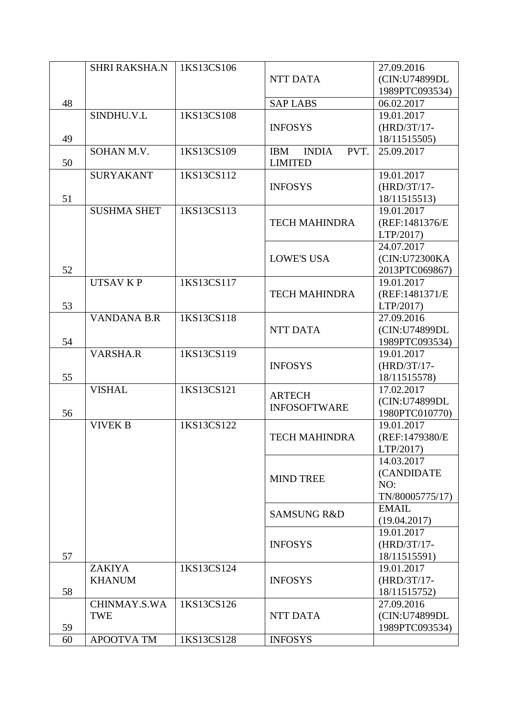|    | <b>SHRI RAKSHA.N</b> | 1KS13CS106 |                                    | 27.09.2016      |
|----|----------------------|------------|------------------------------------|-----------------|
|    |                      |            | NTT DATA                           | (CIN:U74899DL   |
|    |                      |            |                                    | 1989PTC093534)  |
| 48 |                      |            | <b>SAP LABS</b>                    | 06.02.2017      |
|    | SINDHU.V.L           | 1KS13CS108 |                                    | 19.01.2017      |
|    |                      |            | <b>INFOSYS</b>                     | $(HRD/3T/17-$   |
| 49 |                      |            |                                    | 18/11515505)    |
|    | SOHAN M.V.           | 1KS13CS109 | <b>INDIA</b><br>PVT.<br><b>IBM</b> | 25.09.2017      |
| 50 |                      |            | <b>LIMITED</b>                     |                 |
|    | <b>SURYAKANT</b>     | 1KS13CS112 |                                    | 19.01.2017      |
|    |                      |            | <b>INFOSYS</b>                     | $(HRD/3T/17-$   |
| 51 |                      |            |                                    | 18/11515513)    |
|    | <b>SUSHMA SHET</b>   | 1KS13CS113 |                                    | 19.01.2017      |
|    |                      |            | <b>TECH MAHINDRA</b>               | (REF:1481376/E  |
|    |                      |            |                                    | LTP/2017)       |
|    |                      |            |                                    | 24.07.2017      |
|    |                      |            | <b>LOWE'S USA</b>                  | (CIN:U72300KA   |
| 52 |                      |            |                                    | 2013PTC069867)  |
|    | <b>UTSAV KP</b>      | 1KS13CS117 |                                    | 19.01.2017      |
|    |                      |            | <b>TECH MAHINDRA</b>               | (REF:1481371/E  |
| 53 |                      |            |                                    | LTP/2017)       |
|    | <b>VANDANA B.R</b>   | 1KS13CS118 |                                    | 27.09.2016      |
|    |                      |            | NTT DATA                           | (CIN:U74899DL   |
| 54 |                      |            |                                    | 1989PTC093534)  |
|    | VARSHA.R             | 1KS13CS119 |                                    | 19.01.2017      |
|    |                      |            | <b>INFOSYS</b>                     | $(HRD/3T/17-$   |
| 55 |                      |            |                                    | 18/11515578)    |
|    | <b>VISHAL</b>        | 1KS13CS121 | <b>ARTECH</b>                      | 17.02.2017      |
|    |                      |            | <b>INFOSOFTWARE</b>                | (CIN:U74899DL   |
| 56 |                      |            |                                    | 1980PTC010770)  |
|    | <b>VIVEK B</b>       | 1KS13CS122 |                                    | 19.01.2017      |
|    |                      |            | <b>TECH MAHINDRA</b>               | (REF:1479380/E  |
|    |                      |            |                                    | LTP/2017)       |
|    |                      |            |                                    | 14.03.2017      |
|    |                      |            | <b>MIND TREE</b>                   | (CANDIDATE      |
|    |                      |            |                                    | NO:             |
|    |                      |            |                                    | TN/80005775/17) |
|    |                      |            | <b>SAMSUNG R&amp;D</b>             | <b>EMAIL</b>    |
|    |                      |            |                                    | (19.04.2017)    |
|    |                      |            |                                    | 19.01.2017      |
|    |                      |            | <b>INFOSYS</b>                     | (HRD/3T/17-     |
| 57 |                      |            |                                    | 18/11515591)    |
|    | <b>ZAKIYA</b>        | 1KS13CS124 |                                    | 19.01.2017      |
|    | <b>KHANUM</b>        |            | <b>INFOSYS</b>                     | $(HRD/3T/17-$   |
| 58 |                      |            |                                    | 18/11515752)    |
|    | CHINMAY.S.WA         | 1KS13CS126 |                                    | 27.09.2016      |
|    | TWE                  |            | <b>NTT DATA</b>                    | (CIN:U74899DL   |
| 59 |                      |            |                                    | 1989PTC093534)  |
| 60 | <b>APOOTVA TM</b>    | 1KS13CS128 | <b>INFOSYS</b>                     |                 |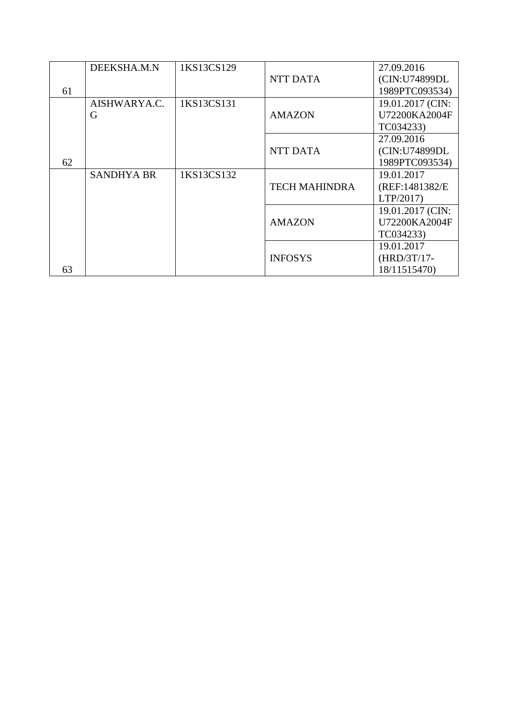|    | DEEKSHA.M.N       | 1KS13CS129 |                      | 27.09.2016       |
|----|-------------------|------------|----------------------|------------------|
|    |                   |            | <b>NTT DATA</b>      | (CIN:U74899DL    |
| 61 |                   |            |                      | 1989PTC093534)   |
|    | AISHWARYA.C.      | 1KS13CS131 |                      | 19.01.2017 (CIN: |
|    | G                 |            | <b>AMAZON</b>        | U72200KA2004F    |
|    |                   |            |                      | TC034233)        |
|    |                   |            |                      | 27.09.2016       |
|    |                   |            | <b>NTT DATA</b>      | (CIN:U74899DL    |
| 62 |                   |            |                      | 1989PTC093534)   |
|    | <b>SANDHYA BR</b> | 1KS13CS132 |                      | 19.01.2017       |
|    |                   |            | <b>TECH MAHINDRA</b> | (REF:1481382/E)  |
|    |                   |            |                      | LTP/2017)        |
|    |                   |            |                      | 19.01.2017 (CIN: |
|    |                   |            | <b>AMAZON</b>        | U72200KA2004F    |
|    |                   |            |                      | TC034233)        |
|    |                   |            |                      | 19.01.2017       |
|    |                   |            | <b>INFOSYS</b>       | $(HRD/3T/17-$    |
| 63 |                   |            |                      | 18/11515470)     |